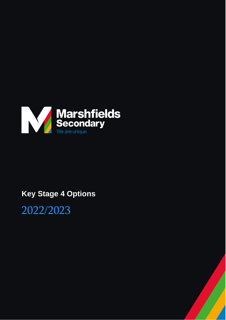

# **Key Stage 4 Options**

2022/2023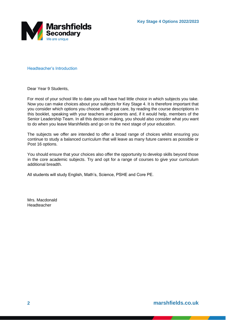

Headteacher's Introduction

Dear Year 9 Students,

For most of your school life to date you will have had little choice in which subjects you take. Now you can make choices about your subjects for Key Stage 4. It is therefore important that you consider which options you choose with great care, by reading the course descriptions in this booklet, speaking with your teachers and parents and, if it would help, members of the Senior Leadership Team. In all this decision making, you should also consider what you want to do when you leave Marshfields and go on to the next stage of your education.

The subjects we offer are intended to offer a broad range of choices whilst ensuring you continue to study a balanced curriculum that will leave as many future careers as possible or Post 16 options.

You should ensure that your choices also offer the opportunity to develop skills beyond those in the core academic subjects. Try and opt for a range of courses to give your curriculum additional breadth.

All students will study English, Math's, Science, PSHE and Core PE.

Mrs. Macdonald Headteacher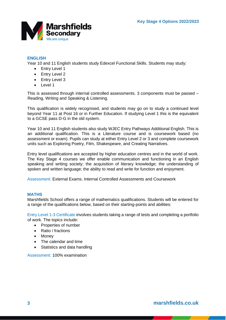

## **ENGLISH**

Year 10 and 11 English students study Edexcel Functional Skills. Students may study:

- Entry Level 1
- Entry Level 2
- Entry Level 3
- Level 1

This is assessed through internal controlled assessments. 3 components must be passed – Reading, Writing and Speaking & Listening.

This qualification is widely recognised, and students may go on to study a continued level beyond Year 11 at Post 16 or in Further Education. If studying Level 1 this is the equivalent to a GCSE pass D-G in the old system.

Year 10 and 11 English students also study WJEC Entry Pathways Additional English. This is an additional qualification. This is a Literature course and is coursework based (no assessment or exam). Pupils can study at either Entry Level 2 or 3 and complete coursework units such as Exploring Poetry, Film, Shakespeare, and Creating Narratives.

Entry level qualifications are accepted by higher education centres and in the world of work. The Key Stage 4 courses we offer enable communication and functioning in an English speaking and writing society; the acquisition of literary knowledge; the understanding of spoken and written language; the ability to read and write for function and enjoyment.

Assessment: External Exams, Internal Controlled Assessments and Coursework

## **MATHS**

Marshfields School offers a range of mathematics qualifications. Students will be entered for a range of the qualifications below, based on their starting-points and abilities:

Entry Level 1-3 Certificate involves students taking a range of tests and completing a portfolio of work. The topics include:

- Properties of number
- Ratio / fractions
- Money
- The calendar and time
- Statistics and data handling

Assessment: 100% examination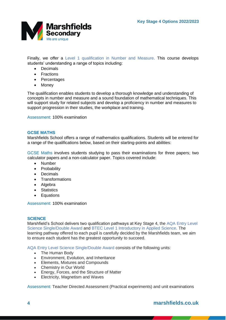

Finally, we offer a Level 1 qualification in Number and Measure. This course develops students' understanding a range of topics including:

- Decimals
- Fractions
- Percentages
- Money

The qualification enables students to develop a thorough knowledge and understanding of concepts in number and measure and a sound foundation of mathematical techniques. This will support study for related subjects and develop a proficiency in number and measures to support progression in their studies, the workplace and training.

Assessment: 100% examination

#### **GCSE MATHS**

Marshfields School offers a range of mathematics qualifications. Students will be entered for a range of the qualifications below, based on their starting-points and abilities:

GCSE Maths involves students studying to pass their examinations for three papers; two calculator papers and a non-calculator paper. Topics covered include:

- Number
- Probability
- Decimals
- Transformations
- Algebra
- Statistics
- Equations

Assessment: 100% examination

#### **SCIENCE**

Marshfield's School delivers two qualification pathways at Key Stage 4, the AQA Entry Level Science Single/Double Award and BTEC Level 1 Introductory in Applied Science. The learning pathway offered to each pupil is carefully decided by the Marshfields team, we aim to ensure each student has the greatest opportunity to succeed.

AQA Entry Level Science Single/Double Award consists of the following units:

- The Human Body
- Environment, Evolution, and Inheritance
- Elements, Mixtures and Compounds
- Chemistry in Our World
- Energy, Forces, and the Structure of Matter
- Electricity, Magnetism and Waves

Assessment: Teacher Directed Assessment (Practical experiments) and unit examinations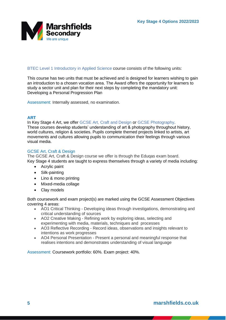

BTEC Level 1 Introductory in Applied Science course consists of the following units:

This course has two units that must be achieved and is designed for learners wishing to gain an introduction to a chosen vocation area. The Award offers the opportunity for learners to study a sector unit and plan for their next steps by completing the mandatory unit: Developing a Personal Progression Plan

Assessment: Internally assessed, no examination.

## **ART**

In Key Stage 4 Art, we offer GCSE Art, Craft and Design or GCSE Photography. These courses develop students' understanding of art & photography throughout history, world cultures, religion & societies. Pupils complete themed projects linked to artists, art movements and cultures allowing pupils to communication their feelings through various visual media.

#### GCSE Art, Craft & Design

The GCSE Art, Craft & Design course we offer is through the Eduqas exam board. Key Stage 4 students are taught to express themselves through a variety of media including:

- Acrylic paint
- Silk-painting
- Lino & mono printing
- Mixed-media collage
- Clay models

Both coursework and exam project(s) are marked using the GCSE Assessment Objectives covering 4 areas:

- AO1 Critical Thinking Developing ideas through investigations, demonstrating and critical understanding of sources
- AO2 Creative Making Refining work by exploring ideas, selecting and experimenting with media, materials, techniques and processes
- AO3 Reflective Recording Record ideas, observations and insights relevant to intentions as work progresses
- AO4 Personal Presentation Present a personal and meaningful response that realises intentions and demonstrates understanding of visual language

Assessment: Coursework portfolio: 60%. Exam project: 40%.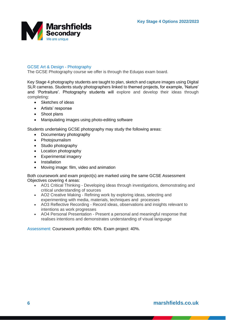

## GCSE Art & Design - Photography

The GCSE Photography course we offer is through the Eduqas exam board.

Key Stage 4 photography students are taught to plan, sketch and capture images using Digital SLR cameras. Students study photographers linked to themed projects, for example, 'Nature' and 'Portraiture'. Photography students will explore and develop their ideas through completing:

- Sketches of ideas
- Artists' response
- Shoot plans
- Manipulating images using photo-editing software

Students undertaking GCSE photography may study the following areas:

- Documentary photography
- Photojournalism
- Studio photography
- Location photography
- Experimental imagery
- Installation
- Moving image: film, video and animation

Both coursework and exam project(s) are marked using the same GCSE Assessment Objectives covering 4 areas:

- AO1 Critical Thinking Developing ideas through investigations, demonstrating and critical understanding of sources
- AO2 Creative Making Refining work by exploring ideas, selecting and experimenting with media, materials, techniques and processes
- AO3 Reflective Recording Record ideas, observations and insights relevant to intentions as work progresses
- AO4 Personal Presentation Present a personal and meaningful response that realises intentions and demonstrates understanding of visual language

Assessment: Coursework portfolio: 60%. Exam project: 40%.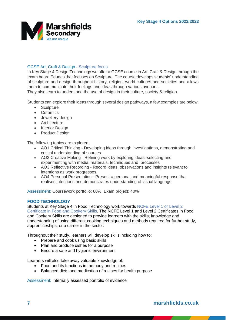

## GCSE Art, Craft & Design - Sculpture focus

In Key Stage 4 Design Technology we offer a GCSE course in Art, Craft & Design through the exam board Eduqas that focuses on Sculpture. The course develops students' understanding of sculpture and design throughout history, religion, world cultures and societies and allows them to communicate their feelings and ideas through various avenues.

They also learn to understand the use of design in their culture, society & religion.

Students can explore their ideas through several design pathways, a few examples are below:

- Sculpture
- Ceramics
- Jewellery design
- Architecture
- Interior Design
- Product Design

The following topics are explored:

- AO1 Critical Thinking Developing ideas through investigations, demonstrating and critical understanding of sources
- AO2 Creative Making Refining work by exploring ideas, selecting and experimenting with media, materials, techniques and processes
- experimenting with media, materials, techniques and processes<br>AO3 Reflective Recording Record ideas, observations and insights relevant to intentions as work progresses
- AO4 Personal Presentation Present a personal and meaningful response that realises intentions and demonstrates understanding of visual language

Assessment: Coursework portfolio: 60%. Exam project: 40%

#### **FOOD TECHNOLOGY**

Students at Key Stage 4 in Food Technology work towards NCFE Level 1 or Level 2 Certificate in Food and Cookery Skills. The NCFE Level 1 and Level 2 Certificates in Food and Cookery Skills are designed to provide learners with the skills, knowledge and understanding of using different cooking techniques and methods required for further study, apprenticeships, or a career in the sector.

Throughout their study, learners will develop skills including how to:

- Prepare and cook using basic skills
- Plan and produce dishes for a purpose
- Ensure a safe and hygienic environment

Learners will also take away valuable knowledge of:

- Food and its functions in the body and recipes
- Balanced diets and medication of recipes for health purpose

Assessment: Internally assessed portfolio of evidence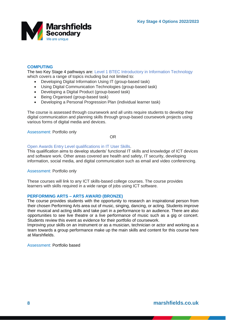

## **COMPUTING**

The two Key Stage 4 pathways are: Level 1 BTEC Introductory in Information Technology which covers a range of topics including but not limited to:

- Developing Digital Information Using IT (group-based task)
- Using Digital Communication Technologies (group-based task)
- Developing a Digital Product (group-based task)
- Being Organised (group-based task)
- Developing a Personal Progression Plan (individual learner task)

The course is assessed through coursework and all units require students to develop their digital communication and planning skills through group-based coursework projects using various forms of digital media and devices.

Assessment: Portfolio only

OR

## Open Awards Entry Level qualifications in IT User Skills.

This qualification aims to develop students' functional IT skills and knowledge of ICT devices and software work. Other areas covered are health and safety, IT security, developing information, social media, and digital communication such as email and video conferencing.

#### Assessment: Portfolio only

These courses will link to any ICT skills-based college courses. The course provides learners with skills required in a wide range of jobs using ICT software.

#### **PERFORMING ARTS – ARTS AWARD (BRONZE)**

The course provides students with the opportunity to research an inspirational person from their chosen Performing Arts area out of music, singing, dancing, or acting. Students improve their musical and acting skills and take part in a performance to an audience. There are also opportunities to see live theatre or a live performance of music such as a gig or concert. Students review this event as evidence for their portfolio of coursework.

Improving your skills on an instrument or as a musician, technician or actor and working as a team towards a group performance make up the main skills and content for this course here at Marshfields.

Assessment: Portfolio based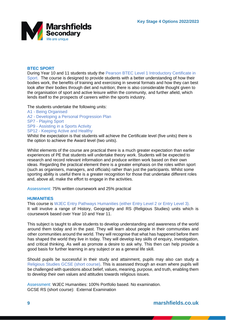

### **BTEC SPORT**

During Year 10 and 11 students study the Pearson BTEC Level 1 Introductory Certificate in Sport. The course is designed to provide students with a better understanding of how their bodies work, the benefits of training and exercising in several formats and how they can best look after their bodies through diet and nutrition; there is also considerable thought given to the organisation of sport and active leisure within the community, and further afield, which lends itself to the prospects of careers within the sports industry.

#### The students undertake the following units:

- A1 Being Organised
- A2 Developing a Personal Progression Plan
- SP7 Playing Sport
- SP9 Assisting in a Sports Activity
- SP12 Keeping Active and Healthy

Whilst the expectation is that students will achieve the Certificate level (five units) there is the option to achieve the Award level (two units).

Whilst elements of the course are practical there is a much greater expectation than earlier experiences of PE that students will undertake theory work. Students will be expected to research and record relevant information and produce written work based on their own ideas. Regarding the practical element there is a greater emphasis on the roles within sport (such as organisers, managers, and officials) rather than just the participants. Whilst some sporting ability is useful there is a greater recognition for those that undertake different roles and, above all, make the effort to engage in the activities.

Assessment: 75% written coursework and 25% practical

#### **HUMANITIES**

This course is WJEC Entry Pathways Humanities (either Entry Level 2 or Entry Level 3). It will involve a range of History, Geography and RS (Religious Studies) units which is coursework based over Year 10 and Year 11.

This subject is taught to allow students to develop understanding and awareness of the world around them today and in the past. They will learn about people in their communities and other communities around the world. They will recognise that what has happened before them has shaped the world they live in today. They will develop key skills of enquiry, investigation, and critical thinking. As well as promote a desire to ask why. This then can help provide a good basis for further learning in any subject or as a general life skill.

Should pupils be successful in their study and attainment, pupils may also can study a Religious Studies GCSE (short course). This is assessed through an exam where pupils will be challenged with questions about belief, values, meaning, purpose, and truth, enabling them to develop their own values and attitudes towards religious issues.

Assessment: WJEC Humanities: 100% Portfolio based. No examination. GCSE RS (short course): External Examination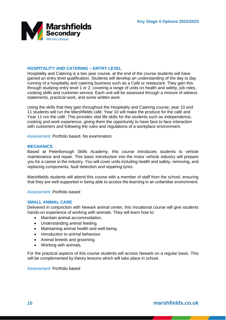

## **HOSPITALITY AND CATERING – ENTRY LEVEL**

Hospitality and Catering is a two year course, at the end of the course students will have gained an entry level qualification. Students will develop an understanding of the day to day running of a hospitality and catering business such as a Café or restaurant. They gain this through studying entry level 1 or 2, covering a range of units on health and safety, job roles, cooking skills and customer service. Each unit will be assessed through a mixture of witness statements, practical work, and some written work.

Using the skills that they gain throughout the Hospitality and Catering course; year 10 and 11 students will run the Marshfields café. Year 10 will make the produce for the café and Year 11 run the café. This provides vital life skills for the students such as independence, cooking and work experience, giving them the opportunity to have face to face interaction with customers and following the rules and regulations of a workplace environment.

Assessment: Portfolio based. No examination.

#### **MECHANICS**

Based at Peterborough Skills Academy, this course introduces students to vehicle maintenance and repair. This basic introduction into the motor vehicle industry will prepare you for a career in the industry. You will cover units including health and safety, removing, and replacing components, fault detection and repairing tyres.

Marshfields students will attend this course with a member of staff from the school, ensuring that they are well-supported in being able to access the learning in an unfamiliar environment.

Assessment: Portfolio based

#### **SMALL ANIMAL CARE**

Delivered in conjunction with Newark animal center, this Vocational course will give students hands-on experience of working with animals. They will learn how to:

- Maintain animal accommodation.
- Understanding animal feeding.
- Maintaining animal health and well-being.
- Introduction to animal behaviour.
- Animal breeds and grooming.
- Working with animals.

For the practical aspects of this course students will access Newark on a regular basis. This will be complemented by theory lessons which will take place in school.

Assessment: Portfolio based